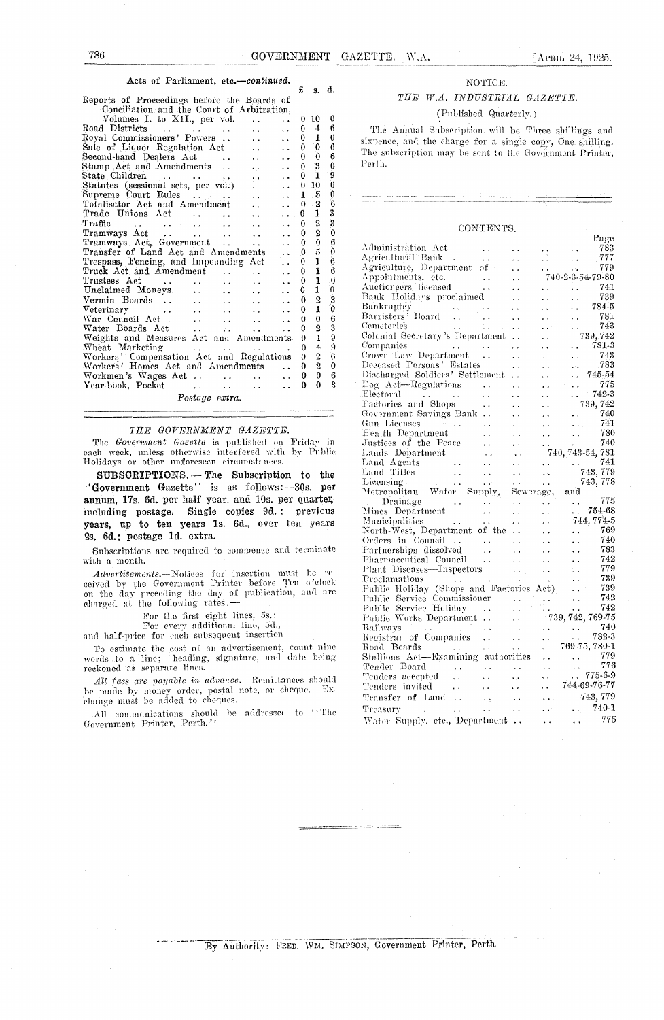#### Acts of Parliament, *etc.—continued. £* s. d.

| Reports of Proceedings before the Boards of |  |                            |  |                                            |  |
|---------------------------------------------|--|----------------------------|--|--------------------------------------------|--|
|                                             |  |                            |  | Conciliation and the Court of Arbitration. |  |
|                                             |  | Volumes L to XIL, per vol. |  |                                            |  |

|                                                                                          | £        | s.             | α.               |
|------------------------------------------------------------------------------------------|----------|----------------|------------------|
| Reports of Proceedings before the Boards of                                              |          |                |                  |
| Conciliation and the Court of Arbitration,                                               |          |                |                  |
| Volumes I. to XII., per vol.<br>$\ddot{\phantom{0}}$                                     | 0        | 10             | 0                |
| Road Districts<br>and the state of the<br>$\ddot{\phantom{a}}$                           | 0        | 4              | 6                |
| Royal Commissioners' Powers<br>$\ddot{\phantom{a}}$                                      | 0.       | 1              | $\theta$         |
| Sale of Liquor Regulation Act<br>$\ddot{\phantom{0}}$                                    | 0.       | 0              | 6                |
| Second-hand Dealers Act<br>$\ddot{\phantom{a}}$                                          | 0        | Ó              | 6                |
| Stamp Act and Amendments<br>. .                                                          | 0        | 3              | 0                |
| State Children<br>contract to the contract of the                                        | 0        | ī              | 9                |
| Statutes (sessional sets, per vcl.)<br>$\ddot{\phantom{0}}$                              | 0        | 10             | 6                |
| Supreme Court Rules<br>$\ddot{\phantom{a}}$<br>$\ddot{\phantom{0}}$                      | 1        | 5              | 0                |
| Totalisator Act and Amendment<br>$\ddot{\phantom{0}}$                                    | 0        | 2              | 6                |
| Trade Unions Act<br>in.                                                                  | 0        | 1              | 3                |
| Traffic<br><b>Allen Common</b><br>$\ddot{\phantom{a}}$                                   | 0        | $\overline{2}$ | 3<br>0           |
| Tramways Act<br>$\mathbf{v}$ and $\mathbf{v}$<br>$\Delta$ , $\Delta$<br>. .              | 0        | 2              |                  |
| Tramways Act, Government<br>$\ddot{\phantom{a}}$                                         | 0        | 0              | 6                |
| Transfer of Land Act and Amendments<br>$\ddot{\phantom{0}}$                              | 0        | 5              | Ö                |
| Trespass, Fencing, and Impounding Act<br>$\ddot{\phantom{a}}$                            | 0        | 1              | $\ddot{6}$       |
| Truck Act and Amendment<br>$\ddot{\phantom{a}}$                                          | 0        | 1              | $\overline{6}$   |
| $\scriptstyle\rm Trustees\;\; Act$<br>$\cdots$<br>. .<br>. .                             | 0        | $\overline{1}$ | $\boldsymbol{0}$ |
| Unclaimed Moneys<br>$\ddot{\phantom{a}}$<br>$\ddot{\phantom{0}}$                         | 0        | 1              | 0                |
| Vermin Boards<br>$\mathbf{1}$ , $\mathbf{1}$                                             | 0        | $\overline{2}$ | 3                |
| Veterinary<br>$\mathbf{A}$<br>$\ddot{\phantom{a}}$                                       | 0        | $\mathbf{1}$   | 0                |
| War Council Act<br>$\sim$<br>$\mathbf{r}$ , $\mathbf{r}$ , $\mathbf{r}$<br>$\sim$ $\sim$ | 0        | $\mathbf{0}$   | 6                |
| Water Boards Act<br>$\sim 2.4 \times 10^{-1}$<br>a a c                                   | 0        | $\overline{2}$ | 3                |
| Weights and Measures Act and Amendments.                                                 | 0        | $\mathbf{1}$   | $\Omega$         |
| Wheat Marketing<br>and the state of the state of the                                     | 0        | $\overline{4}$ | 9                |
| Workers' Compensation Act and Regulations                                                | $\Omega$ | $\overline{2}$ | 6                |
| Workers' Homes Act and Amendments                                                        | 0        | $\overline{2}$ | 0                |
| Workmen's Wages Act                                                                      | 0        | 0              | 6                |
| Year-book, Pocket                                                                        | 0        | 0              | $\mathbf{R}$     |
| Postage extra.                                                                           |          |                |                  |
|                                                                                          |          |                |                  |

*THE GOVERNMENT GAZETTE.* 

The *Government Gazette* is published on Friday in each week, unless otherwise interfered with by Public Holidays or other unforeseen cireunistanees.

SUBSCRIPTIONS. -- The Subscription to the "Government Gazette" is as follows: -- 30s. per annum, 17s. 6d. per half year, and 10s. per quarter, including postage. Single copies 9d. ; previous years, up to ten years is. 6d., over ten years 2s. 6d.; postage ld. extra.

Subscriptions are required to commence and terminate with a month.

*AdvertisemenIs.—* Notices for insertion must he received by the Government Printer before Ten o'clock on the day preceding the day of publication, and are charged at the following rates:

For the first eight lines, 5s.;

For every additional line, 5d.,

and half-price for each subsequent insertion

To estimate the cost of an advertisement, count nine words to a line; heading, signature, and date being reckoned as separate lines.

*All fees are payable in advance.* Remittances should be made by money order, postal note, or cheque. change must be added to cheques.

All communications should be addressed to "The bovermnent Printer, Perth.',

### NOTICE.

## *TIRE IV. 1. INDUSTRIAL GAZETTE.*

## (Published Quarterly.)

The Annual Subscription will be Three shillings and sixpence, and the charge for a single copy, One shilling. The subscription may be sent to the Government Printer, Perth.

#### CONTENTS.

| Administration Act                                                                                  |                           |                            |                        |                                          |                    |
|-----------------------------------------------------------------------------------------------------|---------------------------|----------------------------|------------------------|------------------------------------------|--------------------|
|                                                                                                     |                           |                            |                        |                                          | 783                |
| Agricultural Bank                                                                                   | $\ddot{\phantom{0}}$      |                            | . .                    | $\ddotsc$                                | 777                |
| Agriculture, Department of                                                                          |                           |                            | $\sim$ $\sim$          | рý (                                     | 779                |
| Appointments, etc.<br>Appointments, etc.<br>Auctioneers licensed                                    |                           |                            |                        | 740-2-3-54-79-80                         |                    |
|                                                                                                     |                           |                            |                        | $\sim$ $\sim$                            | 741                |
| Bank Holidays proclaimed                                                                            |                           |                            |                        | $\ddot{\phantom{0}}$                     | 739                |
| Bankruptcy<br>Barristers Board<br>$\sim 100$                                                        |                           |                            |                        | . .                                      | 784-5              |
|                                                                                                     | $\sim$ .                  |                            |                        |                                          | 781                |
| Cemeteries                                                                                          | $\ddot{\phantom{a}}$ .    | μ.                         | د د                    |                                          | 743                |
| Colonial Secretary's Department                                                                     |                           | $\ddot{\phantom{1}}$       |                        |                                          | 739,742            |
| Companies                                                                                           |                           | $\ddot{\phantom{0}}$       |                        |                                          | $\therefore$ 781-3 |
| Companies<br>Crown Law Department                                                                   |                           | $\ddot{\phantom{0}}$       |                        | .                                        | 743                |
| Deceased Persons' Estates                                                                           |                           | $\ddot{\phantom{0}}$       | ÷.                     | ere i                                    | 783                |
| Discharged Soldiers' Settlement                                                                     |                           |                            | $\ddotsc$              |                                          | $. 745-54$         |
| Dog Act-Regulations                                                                                 | $\sim$ $\sim$             | $\ddot{\phantom{a}}$       | $\ddot{\phantom{a}}$   |                                          | $\ldots$ 775       |
| Electoral<br>$\sim 100$ km s $^{-1}$                                                                | $\ddot{\phantom{a}}$      | $\ddot{\phantom{0}}$       | $\ddotsc$              |                                          | $742-3$            |
| Factories and Shops                                                                                 | $\sim 10$                 | . .                        | $\ddotsc$              |                                          | 739, 742           |
| Government Savings Bank                                                                             |                           |                            |                        |                                          | 740                |
| Gun Licenses                                                                                        |                           | $\ddot{\phantom{0}}$       | e kongo                | $\mathcal{L}(\mathbf{r})$ .<br>$\ddotsc$ | 741                |
| $\mathcal{L}^{\mathcal{L}}$ . The space $\mathcal{L}^{\mathcal{L}}$ and $\mathcal{L}^{\mathcal{L}}$ |                           | . .                        | $\ddot{\phantom{0}}$   |                                          | 780                |
| Health Department                                                                                   | $\ddotsc$                 | $\ddot{\phantom{0}}$       |                        | $\ddotsc$                                | 740                |
| Justices of the Peace                                                                               | $\ddot{\phantom{a}}$      | i v                        |                        | $\sim$ $\sim$                            |                    |
| Lands Department                                                                                    | $\ddot{\phantom{0}}$      | $\ddotsc$                  |                        | 740, 743-54, 781                         |                    |
|                                                                                                     |                           |                            |                        |                                          | $\ldots$ 741       |
|                                                                                                     |                           | $\ddot{\phantom{0}}$       | $\sim$                 |                                          | 743,779            |
|                                                                                                     |                           |                            | <br>Sewerage, and      |                                          | 743,778            |
| Land Agents<br>Land Titles<br>Lieensing<br>Metropolitan Water Supply,                               |                           |                            |                        |                                          |                    |
| Drainage<br>$\sim$                                                                                  |                           |                            | $\sim$                 | $\ddot{\phantom{a}}$                     | 775                |
| Mines Department                                                                                    | $\sim 10^{-1}$            | $\ddot{\phantom{0}}$       | $\ddotsc$              |                                          | $. 754-68$         |
| Municipalities<br>$\sim 100$ km $^{-1}$                                                             | $\sim 100$                | . .                        | $\ddotsc$              |                                          | 744, 774-5         |
| North-West, Department of the                                                                       |                           |                            |                        |                                          | $\ldots$ 769       |
| Orders in Council                                                                                   | $\sim 1.4$ and $\sim 1.4$ |                            |                        | $\ddot{\phantom{0}}$                     | 740                |
| Partnerships dissolved                                                                              | $\sim 10$                 | $\sim$ $\sim$              |                        | $\ddot{\phantom{0}}$                     | 783                |
| Pharmaceutical Council                                                                              |                           | $\ddotsc$                  | $\ddotsc$              | ٠.                                       | 742                |
| Plant Diseases—Inspectors                                                                           |                           | $\sim 100$                 | $\epsilon$ .           | v.                                       | 779                |
| Proclamations<br>and the season                                                                     |                           | $\sim 100$                 | $\ddot{\phantom{1}}$ . | $\ddot{\phantom{1}}$ .                   | 739                |
| Public Holiday (Shops and Factories Act)                                                            |                           |                            |                        | $\ddot{\phantom{a}}$                     | 739                |
| Public Service Commissioner                                                                         |                           |                            |                        | $\epsilon$ .                             | 742                |
| Public Service Holiday                                                                              |                           | $\sim$                     |                        | $\ddot{\phantom{a}}$                     | 742                |
| Public Works Department                                                                             |                           | $\mathcal{L}(\mathcal{L})$ |                        | 739, 742, 769-75                         |                    |
|                                                                                                     |                           |                            |                        |                                          | 740                |
| Railways<br>Registrar of Companies                                                                  |                           | . .                        |                        | $\mathbf{L}$                             | 782-3              |
|                                                                                                     |                           |                            | v.<br>$\ddotsc$        | 769-75, 780-1                            |                    |
| Road Boards<br>Stallions Act—Examining authorities                                                  |                           |                            |                        |                                          |                    |
|                                                                                                     |                           |                            |                        |                                          |                    |
|                                                                                                     |                           |                            | $\epsilon_{\rm{max}}$  |                                          | 779                |
| Tender Board<br>$\mathbf{u}$ and $\mathbf{u}$                                                       | $\ddotsc$                 |                            | $\ddotsc$              |                                          | 776                |
| Tenders accepted                                                                                    | $\ddot{\phantom{0}}$      | . .                        |                        |                                          | $.775-6-9$         |
| Tenders invited<br><b>Contract</b>                                                                  | i in                      |                            |                        | 744-69-76-77                             |                    |
| Transfer of Land                                                                                    | $\sim 100$ km $^{-1}$     | $\ddot{\phantom{1}}$       |                        |                                          | 743, 779           |
|                                                                                                     |                           | $\ddot{\phantom{0}}$       |                        | $\mathcal{L}(\mathcal{L})$ .             | 740-1              |
| Treasury<br>$\alpha_{\rm{max}}$<br>Water Supply, etc., Department                                   | $\sim 100$                | $\ddot{\phantom{0}}$       |                        | $\mathcal{L}(\mathbf{x},t)$              | 775                |

Page

By Authority: FRED. WM. SIMPSON, Government Printer, Perth.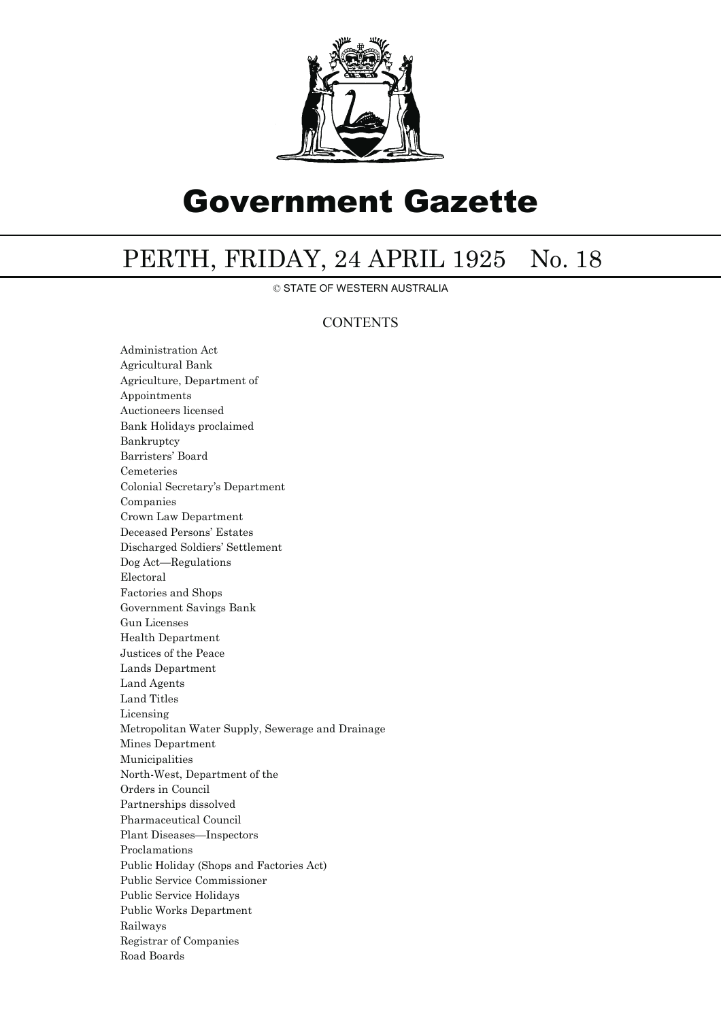

# Government Gazette

## PERTH, FRIDAY, 24 APRIL 1925 No. 18

© STATE OF WESTERN AUSTRALIA

## **CONTENTS**

Administration Act Agricultural Bank Agriculture, Department of Appointments Auctioneers licensed Bank Holidays proclaimed Bankruptcy Barristers' Board Cemeteries Colonial Secretary's Department Companies Crown Law Department Deceased Persons' Estates Discharged Soldiers' Settlement Dog Act—Regulations Electoral Factories and Shops Government Savings Bank Gun Licenses Health Department Justices of the Peace Lands Department Land Agents Land Titles Licensing Metropolitan Water Supply, Sewerage and Drainage Mines Department Municipalities North-West, Department of the Orders in Council Partnerships dissolved Pharmaceutical Council Plant Diseases—Inspectors Proclamations Public Holiday (Shops and Factories Act) Public Service Commissioner Public Service Holidays Public Works Department Railways Registrar of Companies Road Boards